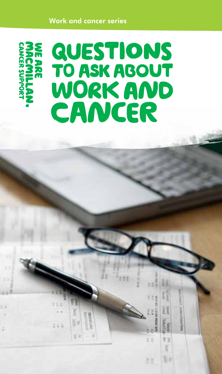#### Work and cancer series



WХ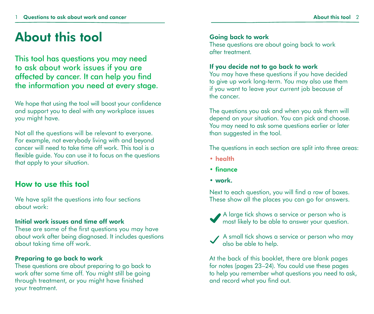### About this tool

This tool has questions you may need to ask about work issues if you are affected by cancer. It can help you find the information you need at every stage.

We hope that using the tool will boost your confidence and support you to deal with any workplace issues you might have.

Not all the questions will be relevant to everyone. For example, not everybody living with and beyond cancer will need to take time off work. This tool is a flexible guide. You can use it to focus on the questions that apply to your situation.

#### How to use this tool

We have split the questions into four sections about work:

#### Initial work issues and time off work

These are some of the first questions you may have about work after being diagnosed. It includes questions about taking time off work.

#### Preparing to go back to work

These questions are about preparing to go back to work after some time off. You might still be going through treatment, or you might have finished your treatment.

#### Going back to work

These questions are about going back to work after treatment.

#### If you decide not to go back to work

You may have these questions if you have decided to give up work long-term. You may also use them if you want to leave your current job because of the cancer.

The questions you ask and when you ask them will depend on your situation. You can pick and choose. You may need to ask some questions earlier or later than suggested in the tool.

The questions in each section are split into three areas:

- health
- finance
- work.

Next to each question, you will find a row of boxes. These show all the places you can go for answers.



A large tick shows a service or person who is most likely to be able to answer your question.



A small tick shows a service or person who may also be able to help.

At the back of this booklet, there are blank pages for notes (pages 23–24). You could use these pages to help you remember what questions you need to ask, and record what you find out.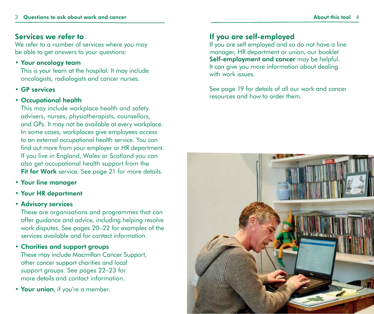#### Services we refer to

We refer to a number of services where you may be able to get answers to your questions:

#### • Your oncology team

This is your team at the hospital. It may include oncologists, radiologists and cancer nurses.

• GP services

#### • Occupational health

This may include workplace health and safety advisers, nurses, physiotherapists, counsellors, and GPs. It may not be available at every workplace. In some cases, workplaces give employees access to an external occupational health service. You can find out more from your employer or HR department. If you live in England, Wales or Scotland you can also get occupational health support from the Fit for Work service. See page 21 for more details.

- Your line manager
- Your HR department

#### • Advisory services

These are organisations and programmes that can offer guidance and advice, including helping resolve work disputes. See pages 20–22 for examples of the services available and for contact information.

#### • Charities and support groups

These may include Macmillan Cancer Support, other cancer support charities and local support groups. See pages 22–23 for more details and contact information.

• Your union, if you're a member.

#### If you are self-employed

If you are self employed and so do not have a line manager, HR department or union, our booklet Self-employment and cancer may be helpful. It can give you more information about dealing with work issues.

See page 19 for details of all our work and cancer resources and how to order them.

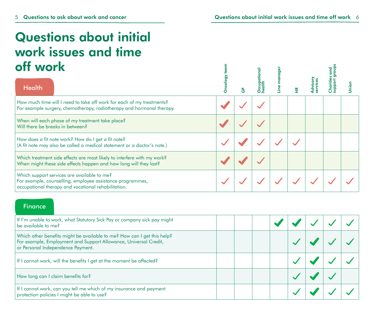### Questions about initial work issues and time off work

| off work                                                                                                                                                        |  |  |  |  |
|-----------------------------------------------------------------------------------------------------------------------------------------------------------------|--|--|--|--|
| <b>Health</b>                                                                                                                                                   |  |  |  |  |
| How much time will I need to take off work for each of my treatments?<br>For example surgery, chemotherapy, radiotherapy and hormonal therapy.                  |  |  |  |  |
| When will each phase of my treatment take place?<br>Will there be breaks in between?                                                                            |  |  |  |  |
| How does a fit note work? How do I get a fit note?<br>(A fit note may also be called a medical statement or a doctor's note.)                                   |  |  |  |  |
| Which treatment side effects are most likely to interfere with my work?<br>When might these side effects happen and how long will they last?                    |  |  |  |  |
| Which support services are available to me?<br>For example, counselling, employee assistance programmes,<br>occupational therapy and vocational rehabilitation. |  |  |  |  |

#### **Finance**

| If I'm unable to work, what Statutory Sick Pay or company sick pay might<br>be available to me?                                                                                  |  |  |  |  |
|----------------------------------------------------------------------------------------------------------------------------------------------------------------------------------|--|--|--|--|
| Which other benefits might be available to me? How can I get this help?<br>For example, Employment and Support Allowance, Universal Credit,<br>or Personal Independence Payment. |  |  |  |  |
| If I cannot work, will the benefits I get at the moment be affected?                                                                                                             |  |  |  |  |
| How long can I claim benefits for?                                                                                                                                               |  |  |  |  |
| If I cannot work, can you tell me which of my insurance and payment<br>protection policies I might be able to use?                                                               |  |  |  |  |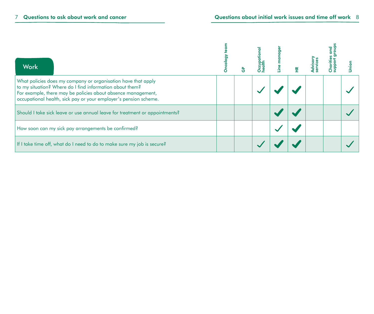| <b>Work</b>                                                                                                                                                                                                                                                   |  |  |  |  |
|---------------------------------------------------------------------------------------------------------------------------------------------------------------------------------------------------------------------------------------------------------------|--|--|--|--|
| What policies does my company or organisation have that apply<br>to my situation? Where do I find information about them?<br>For example, there may be policies about absence management,<br>occupational health, sick pay or your employer's pension scheme. |  |  |  |  |
| Should I take sick leave or use annual leave for treatment or appointments?                                                                                                                                                                                   |  |  |  |  |
| How soon can my sick pay arrangements be confirmed?                                                                                                                                                                                                           |  |  |  |  |
| If I take time off, what do I need to do to make sure my job is secure?                                                                                                                                                                                       |  |  |  |  |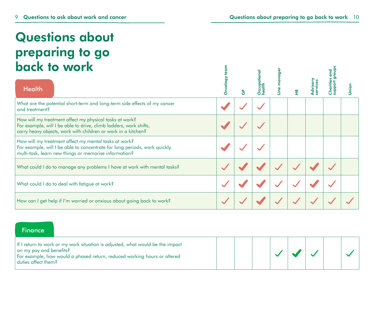### Questions about preparing to go back to work

| back to work                                                                                                                                                                                  |   |    |  |  |       |
|-----------------------------------------------------------------------------------------------------------------------------------------------------------------------------------------------|---|----|--|--|-------|
| <b>Health</b>                                                                                                                                                                                 | O | 양동 |  |  | Jnion |
| What are the potential short-term and long-term side effects of my cancer<br>and treatment?                                                                                                   |   |    |  |  |       |
| How will my treatment affect my physical tasks at work?<br>For example, will I be able to drive, climb ladders, work shifts,<br>carry heavy objects, work with children or work in a kitchen? |   |    |  |  |       |
| How will my treatment affect my mental tasks at work?<br>For example, will I be able to concentrate for long periods, work quickly,<br>multi-task, learn new things or memorise information?  |   |    |  |  |       |
| What could I do to manage any problems I have at work with mental tasks?                                                                                                                      |   |    |  |  |       |
| What could I do to deal with fatigue at work?                                                                                                                                                 |   |    |  |  |       |
| How can I get help if I'm worried or anxious about going back to work?                                                                                                                        |   |    |  |  |       |

 $\epsilon$ 

#### **Finance**

| If I return to work or my work situation is adjusted, what would be the impact<br>on my pay and benefits?<br>For example, how would a phased return, reduced working hours or altered<br>  duties affect them? |  |  |  |  |  |  |  |  |
|----------------------------------------------------------------------------------------------------------------------------------------------------------------------------------------------------------------|--|--|--|--|--|--|--|--|
|----------------------------------------------------------------------------------------------------------------------------------------------------------------------------------------------------------------|--|--|--|--|--|--|--|--|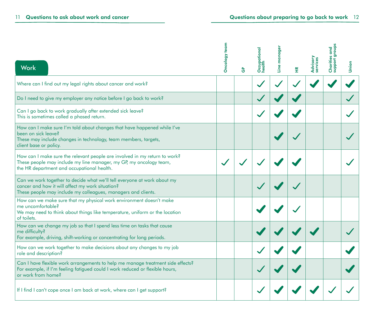| <b>Work</b>                                                                                                                                                                                    | Oncology team | စိ | Occupational<br>health | anag<br>$\mathbf 0$ | $\widetilde{\mathbb{H}}$ | Advisory<br>services | guo<br>6S<br>Charitie<br>suppor | Union |
|------------------------------------------------------------------------------------------------------------------------------------------------------------------------------------------------|---------------|----|------------------------|---------------------|--------------------------|----------------------|---------------------------------|-------|
| Where can I find out my legal rights about cancer and work?                                                                                                                                    |               |    |                        |                     |                          |                      |                                 |       |
| Do I need to give my employer any notice before I go back to work?                                                                                                                             |               |    |                        |                     |                          |                      |                                 |       |
| Can I go back to work gradually after extended sick leave?<br>This is sometimes called a phased return.                                                                                        |               |    |                        |                     |                          |                      |                                 |       |
| How can I make sure I'm told about changes that have happened while I've<br>been on sick leave?<br>These may include changes in technology, team members, targets,<br>client base or policy.   |               |    |                        |                     |                          |                      |                                 |       |
| How can I make sure the relevant people are involved in my return to work?<br>These people may include my line manager, my GP, my oncology team,<br>the HR department and occupational health. |               |    |                        |                     |                          |                      |                                 |       |
| Can we work together to decide what we'll tell everyone at work about my<br>cancer and how it will affect my work situation?<br>These people may include my colleagues, managers and clients.  |               |    |                        |                     |                          |                      |                                 |       |
| How can we make sure that my physical work environment doesn't make<br>me uncomfortable?<br>We may need to think about things like temperature, uniform or the location<br>of toilets.         |               |    |                        |                     |                          |                      |                                 |       |
| How can we change my job so that I spend less time on tasks that cause<br>me difficulty?<br>For example, driving, shift-working or concentrating for long periods.                             |               |    |                        |                     |                          |                      |                                 |       |
| How can we work together to make decisions about any changes to my job<br>role and description?                                                                                                |               |    |                        |                     |                          |                      |                                 |       |
| Can I have flexible work arrangements to help me manage treatment side effects?<br>For example, if I'm feeling fatigued could I work reduced or flexible hours,<br>or work from home?          |               |    |                        |                     |                          |                      |                                 |       |
| If I find I can't cope once I am back at work, where can I get support?                                                                                                                        |               |    |                        |                     |                          |                      |                                 |       |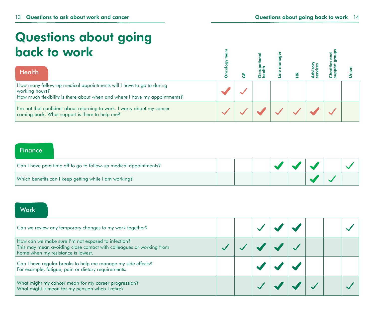### Questions about going back to work

| back to work<br><b>Health</b>                                                                                                                                       |  |  |  |  |
|---------------------------------------------------------------------------------------------------------------------------------------------------------------------|--|--|--|--|
| How many follow-up medical appointments will I have to go to during<br>working hours?<br>How much flexibility is there about when and where I have my appointments? |  |  |  |  |
| I'm not that confident about returning to work. I worry about my cancer<br>coming back. What support is there to help me?                                           |  |  |  |  |

#### **Finance**

| Can I have paid time off to go to follow-up medical appointments? |  |  |  |  |
|-------------------------------------------------------------------|--|--|--|--|
| Which benefits can I keep getting while I am working?             |  |  |  |  |

#### Work

| Can we review any temporary changes to my work together?                                                                                                         |  |  |  |  |
|------------------------------------------------------------------------------------------------------------------------------------------------------------------|--|--|--|--|
| How can we make sure I'm not exposed to infection?<br>This may mean avoiding close contact with colleagues or working from<br>home when my resistance is lowest. |  |  |  |  |
| Can I have regular breaks to help me manage my side effects?<br>For example, fatigue, pain or dietary requirements.                                              |  |  |  |  |
| What might my cancer mean for my career progression?<br>What might it mean for my pension when I retire?                                                         |  |  |  |  |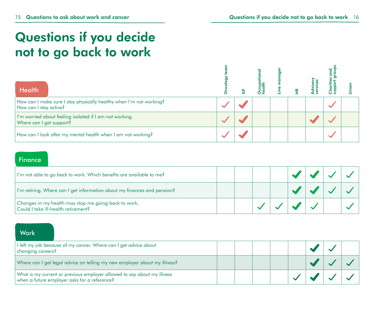### Questions if you decide not to go back to work

| <b>Health</b>                                                                                 |  |  |  |  |
|-----------------------------------------------------------------------------------------------|--|--|--|--|
| How can I make sure I stay physically healthy when I'm not working?<br>How can I stay active? |  |  |  |  |
| I'm worried about feeling isolated if I am not working.<br>Where can I get support?           |  |  |  |  |
| How can I look after my mental health when I am not working?                                  |  |  |  |  |

#### **Finance**

| I'm not able to go back to work. Which benefits are available to me?                        |  |  |  |
|---------------------------------------------------------------------------------------------|--|--|--|
| I'm retiring. Where can I get information about my finances and pension?                    |  |  |  |
| Changes in my health may stop me going back to work.<br>Could I take ill-health retirement? |  |  |  |

#### **Work**

| I left my job because of my cancer. Where can I get advice about<br>changing careers?                                   |  |  |  |  |
|-------------------------------------------------------------------------------------------------------------------------|--|--|--|--|
| Where can I get legal advice on telling my new employer about my illness?                                               |  |  |  |  |
| What is my current or previous employer allowed to say about my illness<br>when a future employer asks for a reference? |  |  |  |  |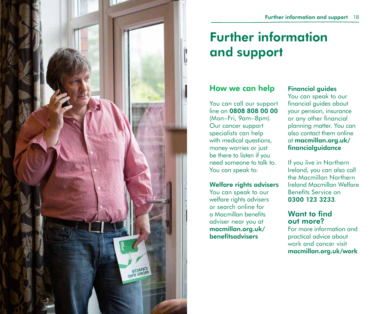

## Further information and support

#### How we can help

You can call our support line on 0808 808 00 00 (Mon–Fri, 9am–8pm). Our cancer support specialists can help with medical questions, money worries or just be there to listen if you need someone to talk to. You can speak to:

#### Welfare rights advisers

You can speak to our welfare rights advisers or search online for a Macmillan benefits adviser near you at macmillan.org.uk/ benefitsadvisers

#### Financial guides

You can speak to our financial guides about your pension, insurance or any other financial planning matter. You can also contact them online at macmillan.org.uk/ financialguidance

If you live in Northern Ireland, you can also call the Macmillan Northern Ireland Macmillan Welfare Benefits Service on 0300 123 3233.

#### Want to find out more?

For more information and practical advice about work and cancer visit macmillan.org.uk/work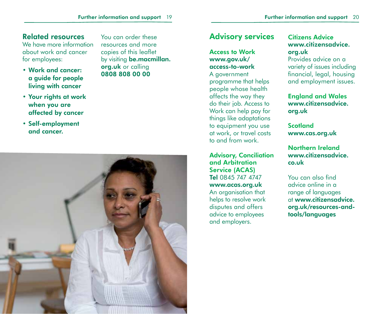#### Related resources

We have more information about work and cancer for employees:

• Work and cancer: a guide for people living with cancer

You can order these resources and more copies of this leaflet by visiting **be.macmillan.** org.uk or calling 0808 808 00 00

- Your rights at work when you are affected by cancer
- Self-employment and cancer.



### Advisory services

#### Access to Work www.gov.uk/ access-to-work

A government programme that helps people whose health affects the way they do their job. Access to Work can help pay for things like adaptations to equipment you use at work, or travel costs to and from work.

Advisory, Conciliation and Arbitration Service (ACAS) Tel 0845 747 4747 www.acas.org.uk An organisation that helps to resolve work disputes and offers advice to employees and employers.

#### Citizens Advice www.citizensadvice. org.uk

Provides advice on a variety of issues including financial, legal, housing and employment issues.

England and Wales www.citizensadvice. org.uk

**Scotland** www.cas.org.uk

#### Northern Ireland www.citizensadvice. co.uk

You can also find advice online in a range of languages at www.citizensadvice. org.uk/resources-andtools/languages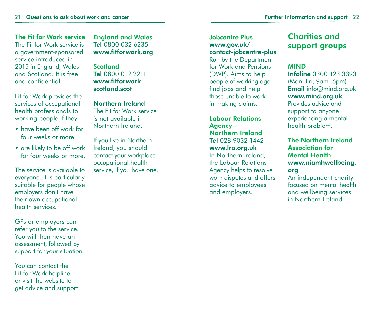#### The Fit for Work service The Fit for Work service is a government-sponsored service introduced in 2015 in England, Wales

and Scotland. It is free and confidential. Fit for Work provides the

services of occupational health professionals to working people if they:

- have been off work for four weeks or more
- are likely to be off work for four weeks or more.

The service is available to everyone. It is particularly suitable for people whose employers don't have their own occupational health services.

GPs or employers can refer you to the service. You will then have an assessment, followed by support for your situation.

You can contact the Fit for Work helpline or visit the website to get advice and support: England and Wales Tel 0800 032 6235 www.fitforwork.org

Scotland Tel 0800 019 2211 www.fitforwork scotland.scot

Northern Ireland The Fit for Work service is not available in Northern Ireland.

If you live in Northern Ireland, you should contact your workplace occupational health service, if you have one.

Jobcentre Plus www.gov.uk/ contact-jobcentre-plus Run by the Department for Work and Pensions (DWP). Aims to help people of working age find jobs and help those unable to work in making claims.

Labour Relations Agency – Northern Ireland Tel 028 9032 1442 www.lra.org.uk In Northern Ireland, the Labour Relations Agency helps to resolve work disputes and offers advice to employees and employers.

#### Charities and support groups

#### MIND

Infoline 0300 123 3393 (Mon–Fri, 9am–6pm) Email info@mind.org.uk www.mind.org.uk Provides advice and support to anyone experiencing a mental

#### The Northern Ireland Association for Mental Health www.niamhwellbeing. org

health problem.

An independent charity focused on mental health and wellbeing services in Northern Ireland.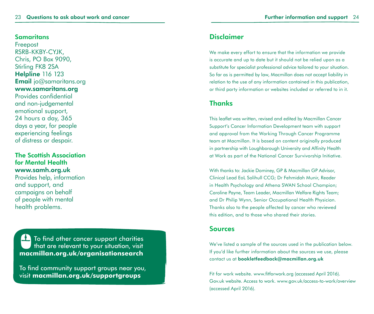#### Samaritans

Freepost RSRB-KKBY-CYJK, Chris, PO Box 9090, Stirling FK8 2SA **Helpline 116 123 Email** jo@samaritans.org www.samaritans.org Provides confidential and non-judgemental emotional support, 24 hours a day, 365 days a year, for people experiencing feelings of distress or despair.

#### The Scottish Association for Mental Health www.samh.org.uk

Provides help, information and support, and campaigns on behalf of people with mental health problems.

To find other cancer support charities SI N that are relevant to your situation, visit **macmillan.org.uk/organisationsearch** 

To find community support groups near you, visit **macmillan.org.uk/supportgroups**

#### Disclaimer

We make every effort to ensure that the information we provide is accurate and up to date but it should not be relied upon as a substitute for specialist professional advice tailored to your situation. So far as is permitted by law, Macmillan does not accept liability in relation to the use of any information contained in this publication, or third party information or websites included or referred to in it.

#### **Thanks**

This leaflet was written, revised and edited by Macmillan Cancer Support's Cancer Information Development team with support and approval from the Working Through Cancer Programme team at Macmillan. It is based on content originally produced in partnership with Loughborough University and Affinity Health at Work as part of the National Cancer Survivorship Initiative.

With thanks to: Jackie Dominey, GP & Macmillan GP Advisor, Clinical Lead EoL Solihull CCG; Dr Fehmidah Munir, Reader in Health Psychology and Athena SWAN School Champion; Caroline Payne, Team Leader, Macmillan Welfare Rights Team; and Dr Philip Wynn, Senior Occupational Health Physician. Thanks also to the people affected by cancer who reviewed this edition, and to those who shared their stories.

#### Sources

We've listed a sample of the sources used in the publication below. If you'd like further information about the sources we use, please contact us at bookletfeedback@macmillan.org.uk

Fit for work website. www.fitforwork.org (accessed April 2016). Gov.uk website. Access to work. www.gov.uk/access-to-work/overview (accessed April 2016).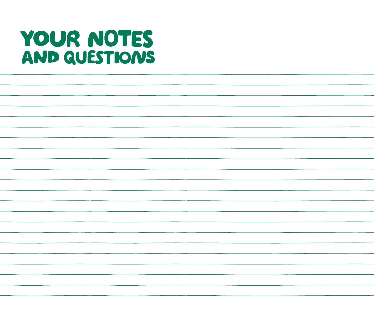# YOUR NOTES AND QUESTIONS